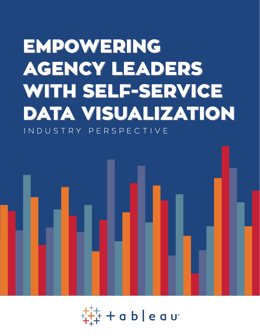# EMPOWERING EMPOWERING AGENCY LEADERS AGENCY LEADERS WITH SELF-SERVICE WITH SELF-SERVICE DATA VISUALIZATION DATA VISUALIZATION INDUSTRY PERSPECTIVE



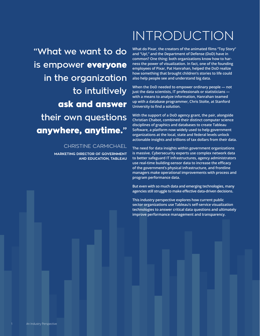**"What we want to do is empower** everyone **in the organization to intuitively**  ask and answer **their own questions** anywhere, anytime.**"**

#### CHRISTINE CARMICHAEL

**MARKETING DIRECTOR OF GOVERNMENT AND EDUCATION, TABLEAU**

#### INTRODUCTION

**What do Pixar, the creators of the animated films "Toy Story" and "Up!," and the Department of Defense (DoD) have in common? One thing: both organizations know how to harness the power of visualization. In fact, one of the founding employees of Pixar, Pat Hanrahan, helped the DoD realize how something that brought children's stories to life could also help people see and understand big data.** 

**When the DoD needed to empower ordinary people — not just the data scientists, IT professionals or statisticians with a means to analyze information, Hanrahan teamed up with a database programmer, Chris Stolte, at Stanford University to find a solution.** 

**With the support of a DoD agency grant, the pair, alongside Christian Chabot, combined their distinct computer science disciplines of graphics and databases to create Tableau Software, a platform now widely used to help government organizations at the local, state and federal levels unlock actionable insights and trillions of tax dollars from their data.** 

**The need for data insights within government organizations is massive. Cybersecurity experts use complex network data to better safeguard IT infrastructures, agency administrators use real-time building-sensor data to increase the efficacy of the government's physical infrastructure, and frontline managers make operational improvements with process and program performance data.** 

**But even with so much data and emerging technologies, many agencies still struggle to make effective data-driven decisions.** 

**This industry perspective explores how current public sector organizations use Tableau's self-service visualization technologies to answer critical data questions and ultimately improve performance management and transparency.**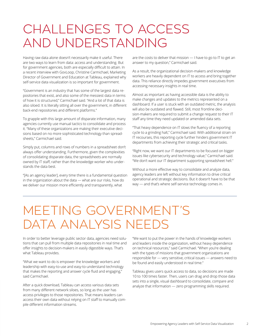#### CHALLENGES TO ACCESS AND UNDERSTANDING

Having raw data alone doesn't necessarily make it useful. There are two ways to learn from data: access and understanding. But for government agencies, both are especially difficult to attain. In a recent interview with GovLoop, Christine Carmichael, Marketing Director of Government and Education at Tableau, explained why self-service data visualization is so important for government.

"Government is an industry that has some of the largest data repositories that exist, and also some of the messiest data in terms of how it is structured," Carmichael said. "And a lot of that data is also siloed. It is literally sitting all over the government, in different back-end repositories and different platforms."

To grapple with this large amount of disparate information, many agencies currently use manual tactics to consolidate and process it. "Many of these organizations are making their executive decisions based on no more sophisticated technology than spreadsheets," Carmichael said.

Simply put, columns and rows of numbers in a spreadsheet don't always offer understanding. Furthermore, given the complexities of consolidating disparate data, the spreadsheets are normally owned by IT staff, rather than the knowledge worker who understands the data best.

"[As an agency leader], every time there is a fundamental question in the organization about the data — what are our risks, how do we deliver our mission more efficiently and transparently, what

are the costs to deliver that mission — I have to go to IT to get an answer to my question," Carmichael said.

As a result, the organizational decision-makers and knowledge workers are heavily dependent on IT to access and bring together data. This reliance directly impedes government executives from accessing necessary insights in real time.

Almost as important as having accessible data is the ability to make changes and updates to the metrics represented on a dashboard. If a user is stuck with an outdated metric, the analysis will also be outdated and flawed. Still, most frontline decision-makers are required to submit a change request to their IT staff any time they need updated or amended data sets.

"That heavy dependence on IT slows the fluency of a reporting cycle to a grinding halt," Carmichael said. With additional strain on IT recourses, this reporting cycle further hinders government IT departments from achieving their strategic and critical tasks.

"Right now, we want our IT departments to be focused on bigger issues like cybersecurity and technology value," Carmichael said. "We don't want our IT department supporting spreadsheet hell."

Without a more effective way to consolidate and analyze data, agency leaders are left without key information to drive critical operational and strategic decisions. But it doesn't have to be that way — and that's where self-service technology comes in.

## MEETING GOVERNMENT'S DATA ANALYSIS NEEDS

In order to better leverage public sector data, agencies need solutions that can pull from multiple data repositories in real time and offer insights to decision-makers in easily digestible ways. That's what Tableau provides.

"What we want to do is empower the knowledge workers and leadership with easy-to-use and easy-to-understand technology that makes the reporting and answer cycle fluid and engaging," said Carmichael.

After a quick download, Tableau can access various data sets from many different network siloes, so long as the user has access privileges to those repositories. That means leaders can access their own data without relying on IT staff to manually compile different information streams.

"We want to put the power in the hands of knowledge workers and leaders inside the organization, without heavy dependence on technical resources," said Carmichael. "When you're dealing with the types of missions that government organizations are responsible for — very sensitive, critical issues — answers need to be found and easily understood in real time."

Tableau gives users quick access to data, so decisions are made 10 to 100 times faster. Then, users can drag and drop those data sets into a single, visual dashboard to consolidate, compare and analyze that information — zero programming skills required.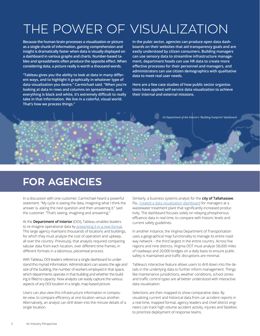## THE POWER OF VISUALIZATION

**Because the human brain processes a visualization or picture as a single chunk of information, gaining comprehension and insight is dramatically faster when data is visually displayed on a dashboard in various graphs and charts. Number-based tables and spreadsheets often produce the opposite effect. When considering data, a picture really is worth a thousand words.** 

**"Tableau gives you the ability to look at data in many different ways, and to highlight it graphically in whatever type of data visualization you desire," Carmichael said. "When you're looking at data in rows and columns on spreadsheets, and everything is black and white, it's extremely difficult to really take in that information. We live in a colorful, visual world. That's how we process things."** 

**In the pubic sector, agencies can produce open data dashboards on their websites that aid transparency goals and are easily understood by citizen consumers. Building managers can use sensory data to streamline infrastructure management, department heads can use HR data to create more effective processes for their personnel and managers, and administrators can use citizen demographics with qualitative data to meet real user needs.** 

**Here are a few case studies of how public sector organizations have applied self-service data visualization to achieve their internal and external missions.**



#### **FOR AGENCIES**

In a discussion with one customer, Carmichael heard a powerful statement. "My cycle is seeing the data, imagining what I think the answer is, asking the next question and then answering it," said the customer. "That's seeing, imagining and answering."

At the **Department of Interior** (DOI), Tableau enables leaders to re-imagine operational data by [presenting it in a new format.](https://public.tableau.com/profile/adam.crahen#!/vizhome/2014DOIBuildingFootprint/BuildingMap) This large agency maintains thousands of locations and buildings, for which they must analyze the cost of operation and upkeep, all over the country. Previously, that analysis required comparing tabular data from each location, over different time frames, in different formats in a laborious, piecemeal process.

With Tableau, DOI leaders reference a single dashboard to understand this myriad information. Administrators can assess the age and size of the building, the number of workers employed in that space, which departments operate in that building and whether the building is filled to capacity. Now analysts can easily capture the various aspects of any DOI location in a single, map-based picture.

Users can also view this infrastructure information in composite view, to compare efficiency at one location versus another. Alternatively, an analyst can drill down into the minute details of a single location.

Similarly, a business systems analyst for the **city of Tallahassee**, Fla., [created a data visualization dashboard](http://www.tableau.com/learn/stories/tallahassee-utilities-improve-services-quality-and-productivity) for managers at a wastewater treatment plant that significantly increased productivity. The dashboard focuses solely on relaying phosphorous effluence data in real time, to compare with historic levels and current safety guidelines.

In another instance, the Virginia Department of Transportation uses a geographical map functionality to manage its entire roadway network – the third largest in the entire country. Across five regions and nine districts, Virginia DOT must analyze 58,000 miles of roadways and 20,000 bridges on a daily basis to ensure public safety is maintained and traffic disruptions are minimal.

Tableau's interactive feature allows users to drill down into the details in the underlying data to further inform management. Things like maintenance jurisdictions, weather conditions, school zones and traffic control types are all better understood with interactive data visualization.

Selections are then mapped to show comparative data. By visualizing current and historical data from car accident reports in a real-time, mapped format, agency leaders and chief district engineers can track high volume accident activity, injuries and fatalities to prioritize deployment of response teams.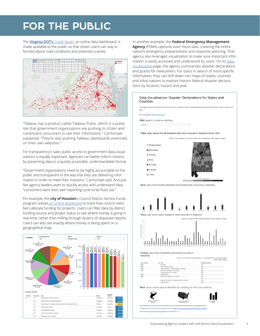#### **FOR THE PUBLIC**

The **[Virginia DOT's](https://public.tableau.com/profile/tien.simmons#!/vizhome/Crashtools8_2/Map_Info)** "crash book", an online data dashboard, is made available to the public so that citizen users can stay informed about road conditions and potential crashes.



"Tableau has a product called Tableau Public, which is a public site that government organizations are pushing to citizen and constituent consumers to see their information," Carmichael explained. "They're also pushing Tableau dashboards externally on their own websites."

For transparency's sake, public access to government data visualizations is equally important. Agencies can better inform citizens by presenting data in a quickly accessible, understandable format.

"Government organizations need to be highly accountable to the public and transparent in the way that they are delivering information in order to meet their missions," Carmichael said. And just like agency leaders want to quickly access and understand data, "consumers want their own reporting cycle to be fluid, too."

For example, the **city of Houston**'s Council District Service Funds program utilize[s an online dashboard](https://public.tableau.com/profile/city.of.houston.finance.department#!/vizhome/CouncilDistrictServiceFundsDashboard/DSFDashboardhttp://) to track how council members allocate funding for projects. Users can filter data by district, funding source and project status to see where money is going in real time, rather than milling through dozens of disparate reports. Users can also see exactly where money is being spent on a geographical map.



In another example, the **Federal Emergency Management Agency** (FEMA) captures even more data, covering the entire nation's emergency preparedness and response planning. That agency also leverages visualization to make sure important information is easily accessed and understood by users. On its data [visualization p](http://www.fema.gov/data-visualization)age, the agency summarizes disaster declarations and grants for newcomers. For users in search of more specific information, they can drill down into maps of states, counties and tribal nations to explore historic federal disaster declarations by location, hazard and year.



For OpenFEMA's API terms and conditions, please visit: http://ww.

ww.fema.gov/data as of 05/26/2015, v1.0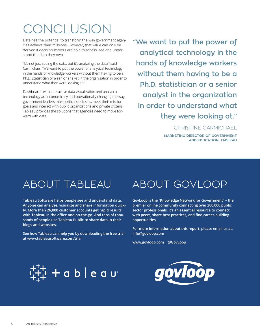## CONCLUSION

Data has the potential to transform the way government agencies achieve their missions. However, that value can only be derived if decision-makers are able to access, see and understand the data they own.

"It's not just seeing the data, but it's analyzing the data," said Carmichael. "We want to put the power of analytical technology in the hands of knowledge workers without them having to be a Ph.D. statistician or a senior analyst in the organization in order to understand what they were looking at."

Dashboards with interactive data visualization and analytical technology are economically and operationally changing the way government leaders make critical decisions, meet their mission goals and interact with public organizations and private citizens. Tableau provides the solutions that agencies need to move forward with data.

**"We want to put the power of analytical technology in the hands of knowledge workers without them having to be a Ph.D. statistician or a senior analyst in the organization in order to understand what they were looking at."**

#### CHRISTINE CARMICHAEL

**MARKETING DIRECTOR OF GOVERNMENT AND EDUCATION, TABLEAU**

**Tableau Software helps people see and understand data. Anyone can analyze, visualize and share information quickly. More than 26,000 customer accounts get rapid results with Tableau in the office and on-the-go. And tens of thousands of people use Tableau Public to share data in their blogs and websites.** 

**See how Tableau can help you by downloading the free trial at [www.tableausoftware.com/trial](http://www.tableausoftware.com/trial).**

#### ABOUT TABLEAU ABOUT GOVLOOP

**GovLoop is the "Knowledge Network for Government" – the premier online community connecting over 200,000 public sector professionals. It's an essential resource to connect with peers, share best practices, and find career-building opportunities.**

**For more information about this report, please email us at: [info@govloop.com](mailto:info%40govloop.com?subject=Hello%20from%20GovLoop%27s%20Tableau%20IP%21)**

**[www.govloop.com](http://www.govloop.com) | [@GovLoop](http://twitter.com/govloop)**



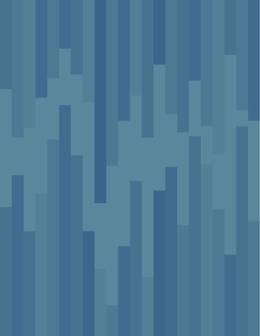